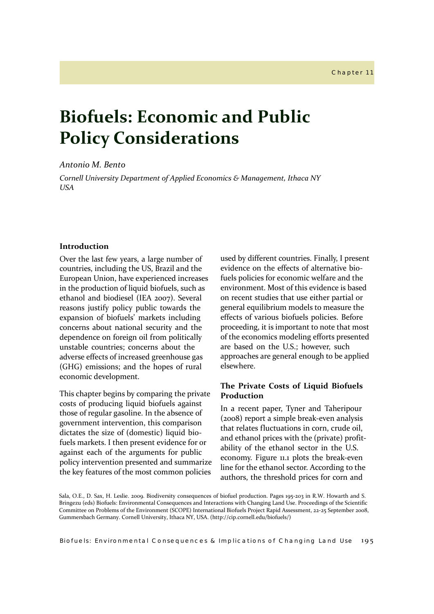## *Antonio M. Bento*

*Cornell University Department of Applied Economics & Management, Ithaca NY USA*

## **Introduction**

Over the last few years, a large number of countries, including the US, Brazil and the European Union, have experienced increases in the production of liquid biofuels, such as ethanol and biodiesel (IEA 2007). Several reasons justify policy public towards the expansion of biofuels' markets including concerns about national security and the dependence on foreign oil from politically unstable countries; concerns about the adverse effects of increased greenhouse gas (GHG) emissions; and the hopes of rural economic development.

This chapter begins by comparing the private costs of producing liquid biofuels against those of regular gasoline. In the absence of government intervention, this comparison dictates the size of (domestic) liquid biofuels markets. I then present evidence for or against each of the arguments for public policy intervention presented and summarize the key features of the most common policies

used by different countries. Finally, I present evidence on the effects of alternative biofuels policies for economic welfare and the environment. Most of this evidence is based on recent studies that use either partial or general equilibrium models to measure the effects of various biofuels policies. Before proceeding, it is important to note that most of the economics modeling efforts presented are based on the U.S.; however, such approaches are general enough to be applied elsewhere.

## **The Private Costs of Liquid Biofuels Production**

In a recent paper, Tyner and Taheripour (2008) report a simple break-even analysis that relates fluctuations in corn, crude oil, and ethanol prices with the (private) profitability of the ethanol sector in the U.S. economy. Figure 11.1 plots the break-even line for the ethanol sector. According to the authors, the threshold prices for corn and

Sala, O.E., D. Sax, H. Leslie. 2009. Biodiversity consequences of biofuel production. Pages 195-203 in R.W. Howarth and S. Bringezu (eds) Biofuels: Environmental Consequences and Interactions with Changing Land Use. Proceedings of the Scientific Committee on Problems of the Environment (SCOPE) International Biofuels Project Rapid Assessment, 22-25 September 2008, Gummersbach Germany. Cornell University, Ithaca NY, USA. (http://cip.cornell.edu/biofuels/)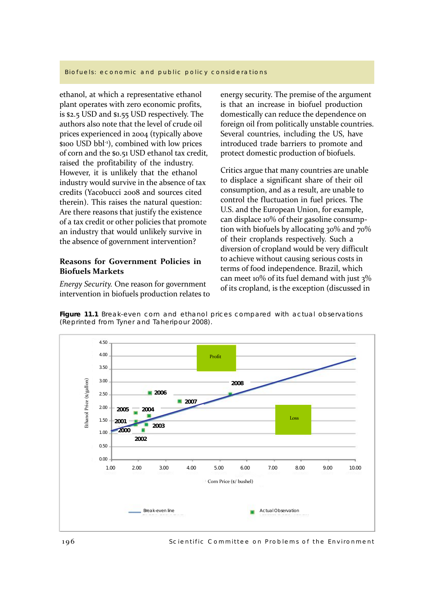ethanol, at which a representative ethanol plant operates with zero economic profits, is \$2.5 USD and \$1.55 USD respectively. The authors also note that the level of crude oil prices experienced in 2004 (typically above \$100 USD bbl-1), combined with low prices of corn and the \$0.51 USD ethanol tax credit, raised the profitability of the industry. However, it is unlikely that the ethanol industry would survive in the absence of tax credits (Yacobucci 2008 and sources cited therein). This raises the natural question: Are there reasons that justify the existence of a tax credit or other policies that promote an industry that would unlikely survive in the absence of government intervention?

## **Reasons for Government Policies in Biofuels Markets**

*Energy Security.* One reason for government intervention in biofuels production relates to energy security. The premise of the argument is that an increase in biofuel production domestically can reduce the dependence on foreign oil from politically unstable countries. Several countries, including the US, have introduced trade barriers to promote and protect domestic production of biofuels.

Critics argue that many countries are unable to displace a significant share of their oil consumption, and as a result, are unable to control the fluctuation in fuel prices. The U.S. and the European Union, for example, can displace 10% of their gasoline consumption with biofuels by allocating  $30\%$  and  $70\%$ of their croplands respectively. Such a diversion of cropland would be very difficult to achieve without causing serious costs in terms of food independence. Brazil, which can meet 10% of its fuel demand with just 3% of its cropland, is the exception (discussed in

**Figure 11.1** Break-even corn and ethanol prices compared with actual observations (Reprinted from Tyner and Taheripour 2008).



Scientific Committee on Problems of the Environment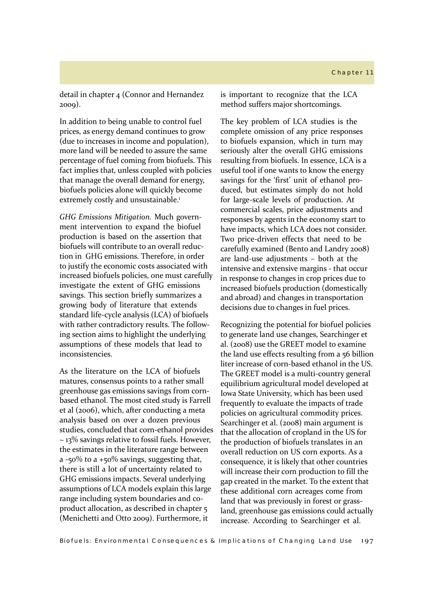detail in chapter 4 (Connor and Hernandez 2009).

In addition to being unable to control fuel prices, as energy demand continues to grow (due to increases in income and population), more land will be needed to assure the same percentage of fuel coming from biofuels. This fact implies that, unless coupled with policies that manage the overall demand for energy, biofuels policies alone will quickly become extremely costly and unsustainable.<sup>1</sup>

*GHG Emissions Mitigation.* Much government intervention to expand the biofuel production is based on the assertion that biofuels will contribute to an overall reduction in GHG emissions. Therefore, in order to justify the economic costs associated with increased biofuels policies, one must carefully investigate the extent of GHG emissions savings. This section briefly summarizes a growing body of literature that extends standard life-cycle analysis (LCA) of biofuels with rather contradictory results. The following section aims to highlight the underlying assumptions of these models that lead to inconsistencies.

As the literature on the LCA of biofuels matures, consensus points to a rather small greenhouse gas emissions savings from cornbased ethanol. The most cited study is Farrell et al (2006), which, after conducting a meta analysis based on over a dozen previous studies, concluded that corn-ethanol provides ~ 13% savings relative to fossil fuels. However, the estimates in the literature range between a -50% to a +50% savings, suggesting that, there is still a lot of uncertainty related to GHG emissions impacts. Several underlying assumptions of LCA models explain this large range including system boundaries and coproduct allocation, as described in chapter 5 (Menichetti and Otto 2009). Furthermore, it

is important to recognize that the LCA method suffers major shortcomings.

The key problem of LCA studies is the complete omission of any price responses to biofuels expansion, which in turn may seriously alter the overall GHG emissions resulting from biofuels. In essence, LCA is a useful tool if one wants to know the energy savings for the 'first' unit of ethanol produced, but estimates simply do not hold for large-scale levels of production. At commercial scales, price adjustments and responses by agents in the economy start to have impacts, which LCA does not consider. Two price-driven effects that need to be carefully examined (Bento and Landry 2008) are land-use adjustments – both at the intensive and extensive margins - that occur in response to changes in crop prices due to increased biofuels production (domestically and abroad) and changes in transportation decisions due to changes in fuel prices.

Recognizing the potential for biofuel policies to generate land use changes, Searchinger et al. (2008) use the GREET model to examine the land use effects resulting from a 56 billion liter increase of corn-based ethanol in the US. The GREET model is a multi-country general equilibrium agricultural model developed at Iowa State University, which has been used frequently to evaluate the impacts of trade policies on agricultural commodity prices. Searchinger et al. (2008) main argument is that the allocation of cropland in the US for the production of biofuels translates in an overall reduction on US corn exports. As a consequence, it is likely that other countries will increase their corn production to fill the gap created in the market. To the extent that these additional corn acreages come from land that was previously in forest or grassland, greenhouse gas emissions could actually increase. According to Searchinger et al.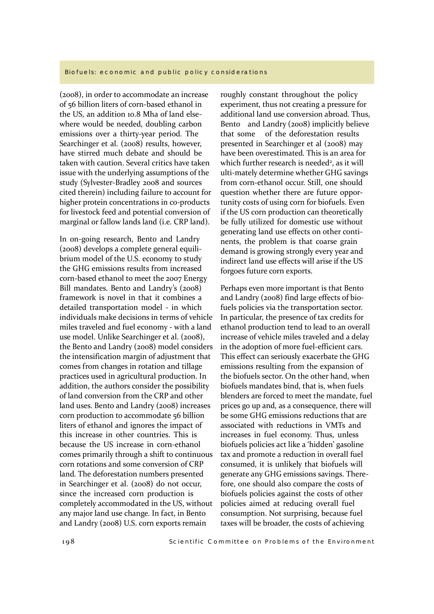(2008), in order to accommodate an increase of 56 billion liters of corn-based ethanol in the US, an addition 10.8 Mha of land elsewhere would be needed, doubling carbon emissions over a thirty-year period. The Searchinger et al. (2008) results, however, have stirred much debate and should be taken with caution. Several critics have taken issue with the underlying assumptions of the study (Sylvester-Bradley 2008 and sources cited therein) including failure to account for higher protein concentrations in co-products for livestock feed and potential conversion of marginal or fallow lands land (i.e. CRP land).

In on-going research, Bento and Landry (2008) develops a complete general equilibrium model of the U.S. economy to study the GHG emissions results from increased corn-based ethanol to meet the 2007 Energy Bill mandates. Bento and Landry's (2008) framework is novel in that it combines a detailed transportation model - in which individuals make decisions in terms of vehicle miles traveled and fuel economy - with a land use model. Unlike Searchinger et al. (2008), the Bento and Landry (2008) model considers the intensification margin of adjustment that comes from changes in rotation and tillage practices used in agricultural production. In addition, the authors consider the possibility of land conversion from the CRP and other land uses. Bento and Landry (2008) increases corn production to accommodate 56 billion liters of ethanol and ignores the impact of this increase in other countries. This is because the US increase in corn-ethanol comes primarily through a shift to continuous corn rotations and some conversion of CRP land. The deforestation numbers presented in Searchinger et al. (2008) do not occur, since the increased corn production is completely accommodated in the US, without any major land use change. In fact, in Bento and Landry (2008) U.S. corn exports remain

roughly constant throughout the policy experiment, thus not creating a pressure for additional land use conversion abroad. Thus, Bento and Landry (2008) implicitly believe that some of the deforestation results presented in Searchinger et al (2008) may have been overestimated. This is an area for which further research is needed<sup>2</sup>, as it will ulti-mately determine whether GHG savings from corn-ethanol occur. Still, one should question whether there are future opportunity costs of using corn for biofuels. Even if the US corn production can theoretically be fully utilized for domestic use without generating land use effects on other continents, the problem is that coarse grain demand is growing strongly every year and indirect land use effects will arise if the US forgoes future corn exports.

Perhaps even more important is that Bento and Landry (2008) find large effects of biofuels policies via the transportation sector. In particular, the presence of tax credits for ethanol production tend to lead to an overall increase of vehicle miles traveled and a delay in the adoption of more fuel-efficient cars. This effect can seriously exacerbate the GHG emissions resulting from the expansion of the biofuels sector. On the other hand, when biofuels mandates bind, that is, when fuels blenders are forced to meet the mandate, fuel prices go up and, as a consequence, there will be some GHG emissions reductions that are associated with reductions in VMTs and increases in fuel economy. Thus, unless biofuels policies act like a 'hidden' gasoline tax and promote a reduction in overall fuel consumed, it is unlikely that biofuels will generate any GHG emissions savings. Therefore, one should also compare the costs of biofuels policies against the costs of other policies aimed at reducing overall fuel consumption. Not surprising, because fuel taxes will be broader, the costs of achieving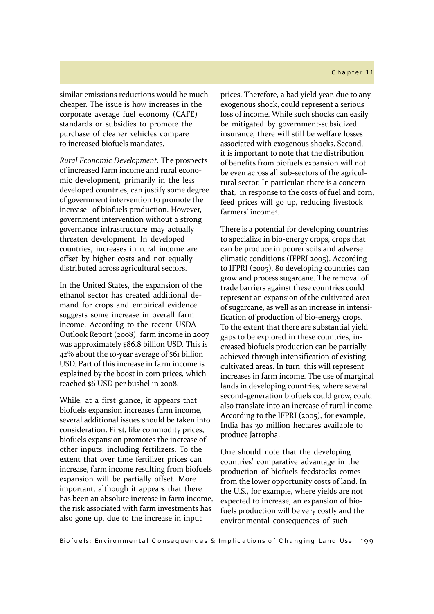## Chapter 11

similar emissions reductions would be much cheaper. The issue is how increases in the corporate average fuel economy (CAFE) standards or subsidies to promote the purchase of cleaner vehicles compare to increased biofuels mandates.

*Rural Economic Development.* The prospects of increased farm income and rural economic development, primarily in the less developed countries, can justify some degree of government intervention to promote the increase of biofuels production. However, government intervention without a strong governance infrastructure may actually threaten development. In developed countries, increases in rural income are offset by higher costs and not equally distributed across agricultural sectors.

In the United States, the expansion of the ethanol sector has created additional demand for crops and empirical evidence suggests some increase in overall farm income. According to the recent USDA Outlook Report (2008), farm income in 2007 was approximately \$86.8 billion USD. This is 42% about the 10-year average of \$61 billion USD. Part of this increase in farm income is explained by the boost in corn prices, which reached \$6 USD per bushel in 2008.

While, at a first glance, it appears that biofuels expansion increases farm income, several additional issues should be taken into consideration. First, like commodity prices, biofuels expansion promotes the increase of other inputs, including fertilizers. To the extent that over time fertilizer prices can increase, farm income resulting from biofuels expansion will be partially offset. More important, although it appears that there has been an absolute increase in farm income, the risk associated with farm investments has also gone up, due to the increase in input

prices. Therefore, a bad yield year, due to any exogenous shock, could represent a serious loss of income. While such shocks can easily be mitigated by government-subsidized insurance, there will still be welfare losses associated with exogenous shocks. Second, it is important to note that the distribution of benefits from biofuels expansion will not be even across all sub-sectors of the agricultural sector. In particular, there is a concern that, in response to the costs of fuel and corn, feed prices will go up, reducing livestock farmers' income4.

There is a potential for developing countries to specialize in bio-energy crops, crops that can be produce in poorer soils and adverse climatic conditions (IFPRI 2005). According to IFPRI (2005), 80 developing countries can grow and process sugarcane. The removal of trade barriers against these countries could represent an expansion of the cultivated area of sugarcane, as well as an increase in intensification of production of bio-energy crops. To the extent that there are substantial yield gaps to be explored in these countries, increased biofuels production can be partially achieved through intensification of existing cultivated areas. In turn, this will represent increases in farm income. The use of marginal lands in developing countries, where several second-generation biofuels could grow, could also translate into an increase of rural income. According to the IFPRI (2005), for example, India has 30 million hectares available to produce Jatropha.

One should note that the developing countries' comparative advantage in the production of biofuels feedstocks comes from the lower opportunity costs of land. In the U.S., for example, where yields are not expected to increase, an expansion of biofuels production will be very costly and the environmental consequences of such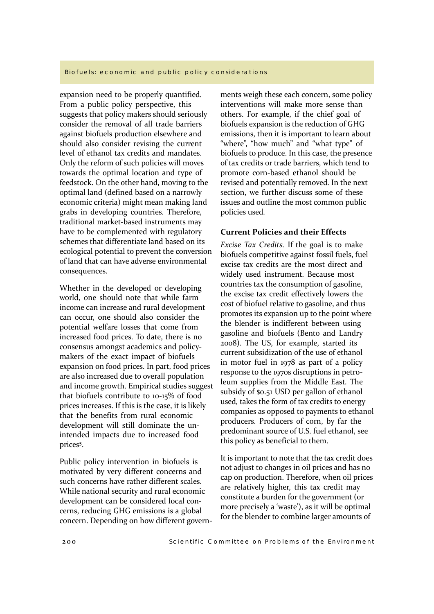expansion need to be properly quantified. From a public policy perspective, this suggests that policy makers should seriously consider the removal of all trade barriers against biofuels production elsewhere and should also consider revising the current level of ethanol tax credits and mandates. Only the reform of such policies will moves towards the optimal location and type of feedstock. On the other hand, moving to the optimal land (defined based on a narrowly economic criteria) might mean making land grabs in developing countries. Therefore, traditional market-based instruments may have to be complemented with regulatory schemes that differentiate land based on its ecological potential to prevent the conversion of land that can have adverse environmental consequences.

Whether in the developed or developing world, one should note that while farm income can increase and rural development can occur, one should also consider the potential welfare losses that come from increased food prices. To date, there is no consensus amongst academics and policymakers of the exact impact of biofuels expansion on food prices. In part, food prices are also increased due to overall population and income growth. Empirical studies suggest that biofuels contribute to 10-15% of food prices increases. If this is the case, it is likely that the benefits from rural economic development will still dominate the unintended impacts due to increased food prices5.

Public policy intervention in biofuels is motivated by very different concerns and such concerns have rather different scales. While national security and rural economic development can be considered local concerns, reducing GHG emissions is a global concern. Depending on how different governments weigh these each concern, some policy interventions will make more sense than others. For example, if the chief goal of biofuels expansion is the reduction of GHG emissions, then it is important to learn about "where", "how much" and "what type" of biofuels to produce. In this case, the presence of tax credits or trade barriers, which tend to promote corn-based ethanol should be revised and potentially removed. In the next section, we further discuss some of these issues and outline the most common public policies used.

## **Current Policies and their Effects**

*Excise Tax Credits.* If the goal is to make biofuels competitive against fossil fuels, fuel excise tax credits are the most direct and widely used instrument. Because most countries tax the consumption of gasoline, the excise tax credit effectively lowers the cost of biofuel relative to gasoline, and thus promotes its expansion up to the point where the blender is indifferent between using gasoline and biofuels (Bento and Landry 2008). The US, for example, started its current subsidization of the use of ethanol in motor fuel in 1978 as part of a policy response to the 1970s disruptions in petroleum supplies from the Middle East. The subsidy of \$0.51 USD per gallon of ethanol used, takes the form of tax credits to energy companies as opposed to payments to ethanol producers. Producers of corn, by far the predominant source of U.S. fuel ethanol, see this policy as beneficial to them.

It is important to note that the tax credit does not adjust to changes in oil prices and has no cap on production. Therefore, when oil prices are relatively higher, this tax credit may constitute a burden for the government (or more precisely a 'waste'), as it will be optimal for the blender to combine larger amounts of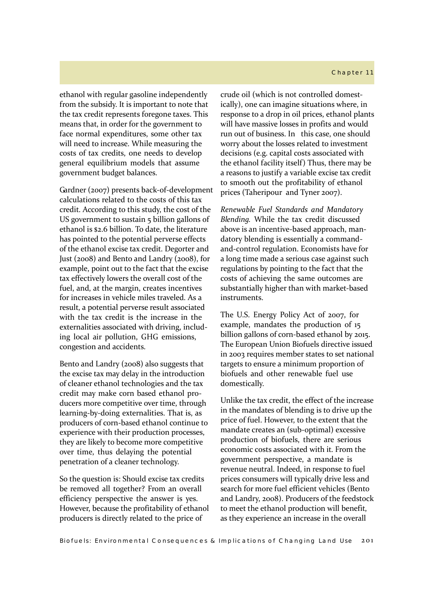#### Chapter 11

ethanol with regular gasoline independently from the subsidy. It is important to note that the tax credit represents foregone taxes. This means that, in order for the government to face normal expenditures, some other tax will need to increase. While measuring the costs of tax credits, one needs to develop general equilibrium models that assume government budget balances.

Gardner (2007) presents back-of-development calculations related to the costs of this tax credit. According to this study, the cost of the US government to sustain 5 billion gallons of ethanol is \$2.6 billion. To date, the literature has pointed to the potential perverse effects of the ethanol excise tax credit. Degorter and Just (2008) and Bento and Landry (2008), for example, point out to the fact that the excise tax effectively lowers the overall cost of the fuel, and, at the margin, creates incentives for increases in vehicle miles traveled. As a result, a potential perverse result associated with the tax credit is the increase in the externalities associated with driving, including local air pollution, GHG emissions, congestion and accidents.

Bento and Landry (2008) also suggests that the excise tax may delay in the introduction of cleaner ethanol technologies and the tax credit may make corn based ethanol producers more competitive over time, through learning-by-doing externalities. That is, as producers of corn-based ethanol continue to experience with their production processes, they are likely to become more competitive over time, thus delaying the potential penetration of a cleaner technology.

So the question is: Should excise tax credits be removed all together? From an overall efficiency perspective the answer is yes. However, because the profitability of ethanol producers is directly related to the price of

crude oil (which is not controlled domestically), one can imagine situations where, in response to a drop in oil prices, ethanol plants will have massive losses in profits and would run out of business. In this case, one should worry about the losses related to investment decisions (e.g. capital costs associated with the ethanol facility itself) Thus, there may be a reasons to justify a variable excise tax credit to smooth out the profitability of ethanol prices (Taheripour and Tyner 2007).

*Renewable Fuel Standards and Mandatory Blending.* While the tax credit discussed above is an incentive-based approach, mandatory blending is essentially a commandand-control regulation. Economists have for a long time made a serious case against such regulations by pointing to the fact that the costs of achieving the same outcomes are substantially higher than with market-based instruments.

The U.S. Energy Policy Act of 2007, for example, mandates the production of 15 billion gallons of corn-based ethanol by 2015. The European Union Biofuels directive issued in 2003 requires member states to set national targets to ensure a minimum proportion of biofuels and other renewable fuel use domestically.

Unlike the tax credit, the effect of the increase in the mandates of blending is to drive up the price of fuel. However, to the extent that the mandate creates an (sub-optimal) excessive production of biofuels, there are serious economic costs associated with it. From the government perspective, a mandate is revenue neutral. Indeed, in response to fuel prices consumers will typically drive less and search for more fuel efficient vehicles (Bento and Landry, 2008). Producers of the feedstock to meet the ethanol production will benefit, as they experience an increase in the overall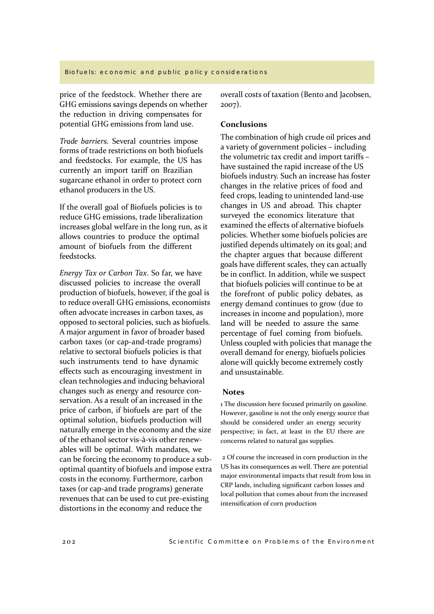price of the feedstock. Whether there are GHG emissions savings depends on whether the reduction in driving compensates for potential GHG emissions from land use.

*Trade barriers.* Several countries impose forms of trade restrictions on both biofuels and feedstocks. For example, the US has currently an import tariff on Brazilian sugarcane ethanol in order to protect corn ethanol producers in the US.

If the overall goal of Biofuels policies is to reduce GHG emissions, trade liberalization increases global welfare in the long run, as it allows countries to produce the optimal amount of biofuels from the different feedstocks.

*Energy Tax or Carbon Tax*. So far, we have discussed policies to increase the overall production of biofuels, however, if the goal is to reduce overall GHG emissions, economists often advocate increases in carbon taxes, as opposed to sectoral policies, such as biofuels. A major argument in favor of broader based carbon taxes (or cap-and-trade programs) relative to sectoral biofuels policies is that such instruments tend to have dynamic effects such as encouraging investment in clean technologies and inducing behavioral changes such as energy and resource conservation. As a result of an increased in the price of carbon, if biofuels are part of the optimal solution, biofuels production will naturally emerge in the economy and the size of the ethanol sector vis-à-vis other renewables will be optimal. With mandates, we can be forcing the economy to produce a suboptimal quantity of biofuels and impose extra costs in the economy. Furthermore, carbon taxes (or cap-and trade programs) generate revenues that can be used to cut pre-existing distortions in the economy and reduce the

overall costs of taxation (Bento and Jacobsen, 2007).

## **Conclusions**

The combination of high crude oil prices and a variety of government policies – including the volumetric tax credit and import tariffs – have sustained the rapid increase of the US biofuels industry. Such an increase has foster changes in the relative prices of food and feed crops, leading to unintended land-use changes in US and abroad. This chapter surveyed the economics literature that examined the effects of alternative biofuels policies. Whether some biofuels policies are justified depends ultimately on its goal; and the chapter argues that because different goals have different scales, they can actually be in conflict. In addition, while we suspect that biofuels policies will continue to be at the forefront of public policy debates, as energy demand continues to grow (due to increases in income and population), more land will be needed to assure the same percentage of fuel coming from biofuels. Unless coupled with policies that manage the overall demand for energy, biofuels policies alone will quickly become extremely costly and unsustainable.

### **Notes**

1 The discussion here focused primarily on gasoline. However, gasoline is not the only energy source that should be considered under an energy security perspective; in fact, at least in the EU there are concerns related to natural gas supplies.

 2 Of course the increased in corn production in the US has its consequences as well. There are potential major environmental impacts that result from loss in CRP lands, including significant carbon losses and local pollution that comes about from the increased intensification of corn production